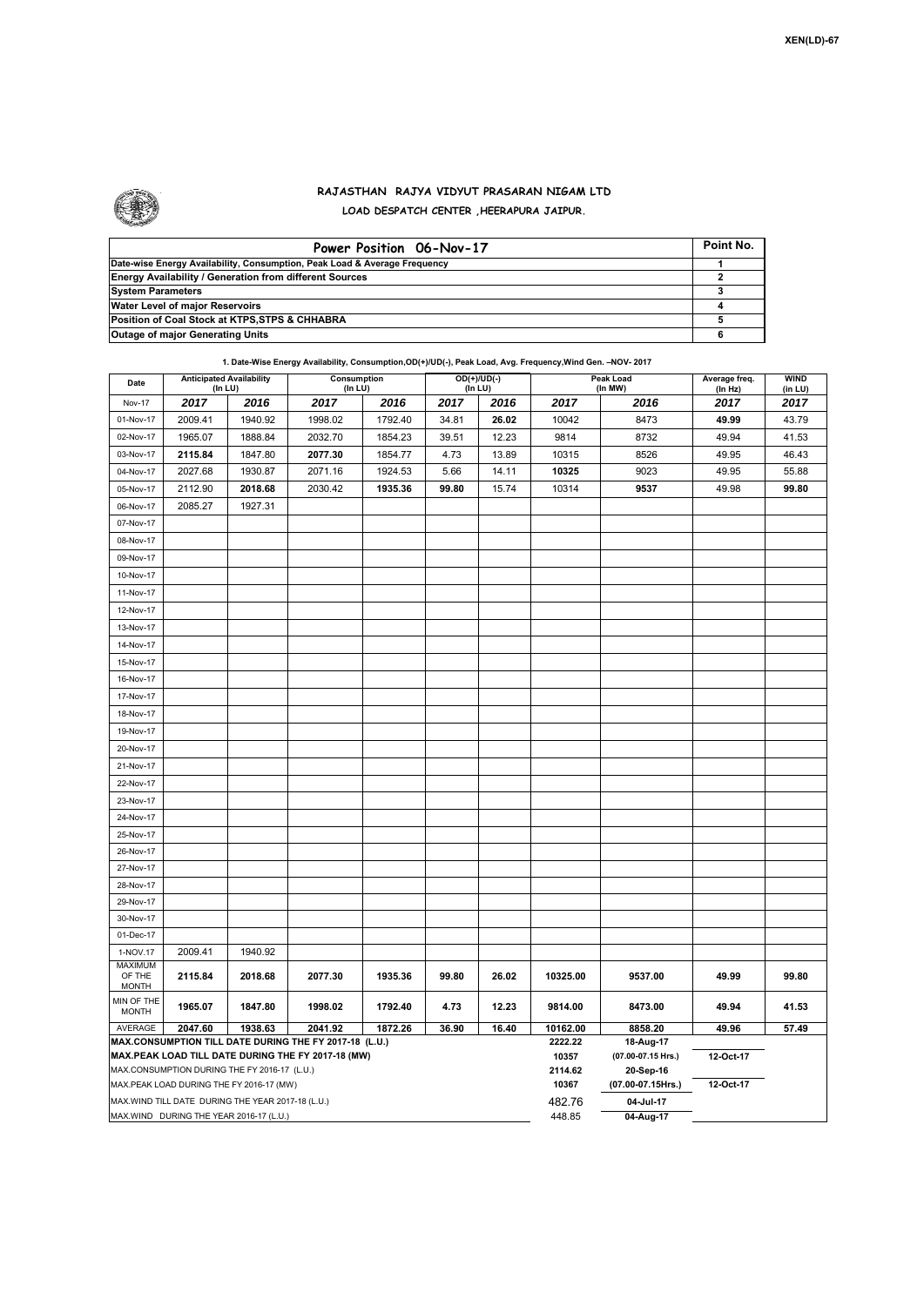

## **RAJASTHAN RAJYA VIDYUT PRASARAN NIGAM LTD LOAD DESPATCH CENTER ,HEERAPURA JAIPUR.**

| Power Position 06-Nov-17                                                  | Point No. |
|---------------------------------------------------------------------------|-----------|
| Date-wise Energy Availability, Consumption, Peak Load & Average Frequency |           |
| <b>Energy Availability / Generation from different Sources</b>            |           |
| <b>System Parameters</b>                                                  |           |
| Water Level of major Reservoirs                                           |           |
| Position of Coal Stock at KTPS, STPS & CHHABRA                            |           |
| <b>Outage of major Generating Units</b>                                   |           |

|                                                                                                    |                                                                                               |                                            | 1. Date-Wise Energy Availability, Consumption, OD(+)/UD(-), Peak Load, Avg. Frequency, Wind Gen. - NOV-2017 |                          |       |       |                      |                          |                        |       |
|----------------------------------------------------------------------------------------------------|-----------------------------------------------------------------------------------------------|--------------------------------------------|-------------------------------------------------------------------------------------------------------------|--------------------------|-------|-------|----------------------|--------------------------|------------------------|-------|
| Date                                                                                               |                                                                                               | <b>Anticipated Availability</b><br>(In LU) | Consumption<br>(In LU)                                                                                      | $OD(+)/UD(-)$<br>(In LU) |       |       | Peak Load<br>(In MW) | Average freq.<br>(In Hz) | <b>WIND</b><br>(in LU) |       |
| <b>Nov-17</b>                                                                                      | 2017                                                                                          | 2016                                       | 2017                                                                                                        | 2016                     | 2017  | 2016  | 2017                 | 2016                     | 2017                   | 2017  |
| 01-Nov-17                                                                                          | 2009.41                                                                                       | 1940.92                                    | 1998.02                                                                                                     | 1792.40                  | 34.81 | 26.02 | 10042                | 8473                     | 49.99                  | 43.79 |
| 02-Nov-17                                                                                          | 1965.07                                                                                       | 1888.84                                    | 2032.70                                                                                                     | 1854.23                  | 39.51 | 12.23 | 9814                 | 8732                     | 49.94                  | 41.53 |
| 03-Nov-17                                                                                          | 2115.84                                                                                       | 1847.80                                    | 2077.30                                                                                                     | 1854.77                  | 4.73  | 13.89 | 10315                | 8526                     | 49.95                  | 46.43 |
| 04-Nov-17                                                                                          | 2027.68                                                                                       | 1930.87                                    | 2071.16                                                                                                     | 1924.53                  | 5.66  | 14.11 | 10325                | 9023                     | 49.95                  | 55.88 |
| 05-Nov-17                                                                                          | 2112.90                                                                                       | 2018.68                                    | 2030.42                                                                                                     | 1935.36                  | 99.80 | 15.74 | 10314                | 9537                     | 49.98                  | 99.80 |
| 06-Nov-17                                                                                          | 2085.27                                                                                       | 1927.31                                    |                                                                                                             |                          |       |       |                      |                          |                        |       |
| 07-Nov-17                                                                                          |                                                                                               |                                            |                                                                                                             |                          |       |       |                      |                          |                        |       |
| 08-Nov-17                                                                                          |                                                                                               |                                            |                                                                                                             |                          |       |       |                      |                          |                        |       |
| 09-Nov-17                                                                                          |                                                                                               |                                            |                                                                                                             |                          |       |       |                      |                          |                        |       |
| 10-Nov-17                                                                                          |                                                                                               |                                            |                                                                                                             |                          |       |       |                      |                          |                        |       |
|                                                                                                    |                                                                                               |                                            |                                                                                                             |                          |       |       |                      |                          |                        |       |
| 11-Nov-17                                                                                          |                                                                                               |                                            |                                                                                                             |                          |       |       |                      |                          |                        |       |
| 12-Nov-17                                                                                          |                                                                                               |                                            |                                                                                                             |                          |       |       |                      |                          |                        |       |
| 13-Nov-17                                                                                          |                                                                                               |                                            |                                                                                                             |                          |       |       |                      |                          |                        |       |
| 14-Nov-17                                                                                          |                                                                                               |                                            |                                                                                                             |                          |       |       |                      |                          |                        |       |
| 15-Nov-17                                                                                          |                                                                                               |                                            |                                                                                                             |                          |       |       |                      |                          |                        |       |
| 16-Nov-17                                                                                          |                                                                                               |                                            |                                                                                                             |                          |       |       |                      |                          |                        |       |
| 17-Nov-17                                                                                          |                                                                                               |                                            |                                                                                                             |                          |       |       |                      |                          |                        |       |
| 18-Nov-17                                                                                          |                                                                                               |                                            |                                                                                                             |                          |       |       |                      |                          |                        |       |
| 19-Nov-17                                                                                          |                                                                                               |                                            |                                                                                                             |                          |       |       |                      |                          |                        |       |
| 20-Nov-17                                                                                          |                                                                                               |                                            |                                                                                                             |                          |       |       |                      |                          |                        |       |
| 21-Nov-17                                                                                          |                                                                                               |                                            |                                                                                                             |                          |       |       |                      |                          |                        |       |
| 22-Nov-17                                                                                          |                                                                                               |                                            |                                                                                                             |                          |       |       |                      |                          |                        |       |
| 23-Nov-17                                                                                          |                                                                                               |                                            |                                                                                                             |                          |       |       |                      |                          |                        |       |
| 24-Nov-17                                                                                          |                                                                                               |                                            |                                                                                                             |                          |       |       |                      |                          |                        |       |
| 25-Nov-17                                                                                          |                                                                                               |                                            |                                                                                                             |                          |       |       |                      |                          |                        |       |
| 26-Nov-17                                                                                          |                                                                                               |                                            |                                                                                                             |                          |       |       |                      |                          |                        |       |
| 27-Nov-17                                                                                          |                                                                                               |                                            |                                                                                                             |                          |       |       |                      |                          |                        |       |
| 28-Nov-17                                                                                          |                                                                                               |                                            |                                                                                                             |                          |       |       |                      |                          |                        |       |
| 29-Nov-17                                                                                          |                                                                                               |                                            |                                                                                                             |                          |       |       |                      |                          |                        |       |
| 30-Nov-17                                                                                          |                                                                                               |                                            |                                                                                                             |                          |       |       |                      |                          |                        |       |
| 01-Dec-17                                                                                          |                                                                                               |                                            |                                                                                                             |                          |       |       |                      |                          |                        |       |
| 1-NOV.17                                                                                           | 2009.41                                                                                       | 1940.92                                    |                                                                                                             |                          |       |       |                      |                          |                        |       |
| <b>MAXIMUM</b>                                                                                     |                                                                                               |                                            |                                                                                                             |                          |       |       |                      |                          |                        |       |
| OF THE<br><b>MONTH</b>                                                                             | 2115.84                                                                                       | 2018.68                                    | 2077.30                                                                                                     | 1935.36                  | 99.80 | 26.02 | 10325.00             | 9537.00                  | 49.99                  | 99.80 |
| MIN OF THE<br><b>MONTH</b>                                                                         | 1965.07                                                                                       | 1847.80                                    | 1998.02                                                                                                     | 1792.40                  | 4.73  | 12.23 | 9814.00              | 8473.00                  | 49.94                  | 41.53 |
| AVERAGE                                                                                            | 2047.60                                                                                       | 1938.63                                    | 2041.92                                                                                                     | 1872.26                  | 36.90 | 16.40 | 10162.00<br>2222.22  | 8858.20                  | 49.96                  | 57.49 |
| MAX.CONSUMPTION TILL DATE DURING THE FY 2017-18 (L.U.)                                             |                                                                                               |                                            |                                                                                                             |                          |       |       |                      | 18-Aug-17                |                        |       |
| MAX.PEAK LOAD TILL DATE DURING THE FY 2017-18 (MW)<br>MAX.CONSUMPTION DURING THE FY 2016-17 (L.U.) |                                                                                               |                                            |                                                                                                             |                          |       |       |                      | (07.00-07.15 Hrs.)       | 12-Oct-17              |       |
|                                                                                                    |                                                                                               |                                            |                                                                                                             |                          |       |       | 2114.62              | 20-Sep-16                |                        |       |
|                                                                                                    |                                                                                               | MAX.PEAK LOAD DURING THE FY 2016-17 (MW)   |                                                                                                             |                          |       |       | 10367<br>482.76      | (07.00-07.15Hrs.)        | 12-Oct-17              |       |
|                                                                                                    | MAX. WIND TILL DATE DURING THE YEAR 2017-18 (L.U.)<br>MAX.WIND DURING THE YEAR 2016-17 (L.U.) |                                            |                                                                                                             |                          |       |       |                      | 04-Jul-17                |                        |       |
|                                                                                                    |                                                                                               |                                            |                                                                                                             |                          |       |       | 448.85               | 04-Aug-17                |                        |       |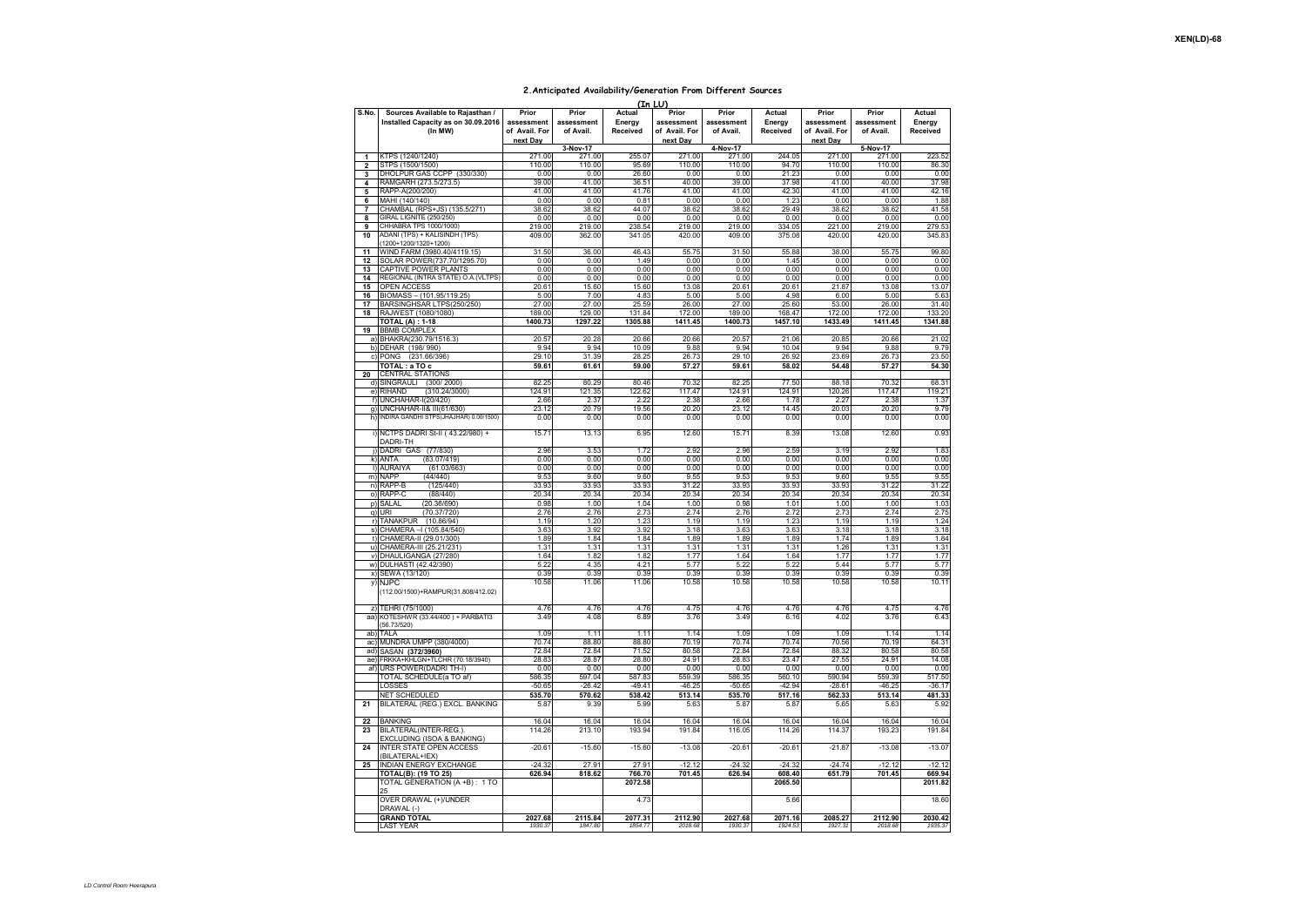## **2.Anticipated Availability/Generation From Different Sources**   $(T<sub>n</sub> + 1)$

|                              |                                                                                    |                                      |                                  |                              | (IN LU                               |                                  |                              |                                      |                                  |                              |
|------------------------------|------------------------------------------------------------------------------------|--------------------------------------|----------------------------------|------------------------------|--------------------------------------|----------------------------------|------------------------------|--------------------------------------|----------------------------------|------------------------------|
| S.No.                        | Sources Available to Rajasthan /<br>Installed Capacity as on 30.09.2016<br>(In MW) | Prior<br>assessment<br>of Avail. For | Prior<br>assessment<br>of Avail. | Actual<br>Energy<br>Received | Prior<br>assessment<br>of Avail. For | Prior<br>assessment<br>of Avail. | Actual<br>Energy<br>Received | Prior<br>assessment<br>of Avail. For | Prior<br>assessment<br>of Avail. | Actual<br>Energy<br>Received |
|                              |                                                                                    | next Dav                             |                                  |                              | next Dav                             |                                  |                              | next Dav                             |                                  |                              |
|                              |                                                                                    |                                      | 3-Nov-17                         |                              |                                      | 4-Nov-17                         |                              |                                      | 5-Nov-17                         |                              |
| 1<br>$\overline{\mathbf{2}}$ | KTPS (1240/1240)<br>STPS (1500/1500)                                               | 271.00<br>110.00                     | 271.00<br>110.00                 | 255.07<br>95.69              | 271.00<br>110.00                     | 271.00<br>110.00                 | 244.05<br>94.70              | 271.00<br>110.00                     | 271.00<br>110.00                 | 223.52<br>86.30              |
| 3                            | DHOLPUR GAS CCPP (330/330)                                                         | 0.00                                 | 0.00                             | 26.60                        | 0.00                                 | 0.00                             | 21.23                        | 0.00                                 | 0.00                             | 0.00                         |
| $\overline{\mathbf{4}}$      | RAMGARH (273.5/273.5)                                                              | 39.00                                | 41.00                            | 36.51                        | 40.00                                | 39.00                            | 37.98                        | 41.00                                | 40.00                            | 37.98                        |
| 5                            | RAPP-A(200/200)                                                                    | 41.00                                | 41.00                            | 41.76                        | 41.00                                | 41.00                            | 42.30                        | 41.00                                | 41.00                            | 42.16                        |
| 6                            | MAHI (140/140)                                                                     | 0.00                                 | 0.00                             | 0.81                         | 0.00                                 | 0.00                             | 1.23                         | 0.00                                 | 0.00                             | 1.88                         |
| $\overline{7}$               | CHAMBAL (RPS+JS) (135.5/271)                                                       | 38.62                                | 38.62                            | 44.07                        | 38.62                                | 38.62                            | 29.49                        | 38.62                                | 38.62                            | 41.58                        |
| 8                            | GIRAL LIGNITE (250/250)<br>CHHABRA TPS 1000/1000)                                  | 0.00<br>219.00                       | 0.00<br>219.00                   | 0.00<br>238.54               | 0.00<br>219.00                       | 0.00                             | 0.00<br>334.05               | 0.00<br>221.00                       | 0.00<br>219.00                   | 0.00                         |
| 9<br>10                      | ADANI (TPS) + KALISINDH (TPS)                                                      | 409.00                               | 362.00                           | 341.05                       | 420.00                               | 219.00<br>409.00                 | 375.08                       | 420.00                               | 420.00                           | 279.53<br>345.83             |
|                              | (1200+1200/1320+1200)                                                              |                                      |                                  |                              |                                      |                                  |                              |                                      |                                  |                              |
| 11                           | WIND FARM (3980.40/4119.15)                                                        | 31.50<br>0.00                        | 36.00<br>0.00                    | 46.43<br>1.49                | 55.75<br>0.00                        | 31.50<br>0.00                    | 55.88<br>1.45                | 38.00<br>0.00                        | 55.75<br>0.00                    | 99.80<br>0.00                |
| 12<br>13                     | SOLAR POWER(737.70/1295.70)<br>CAPTIVE POWER PLANTS                                | 0.00                                 | 0.00                             | 0.00                         | 0.00                                 | 0.00                             | 0.00                         | 0.00                                 | 0.00                             | 0.00                         |
| 14                           | REGIONAL (INTRA STATE) O.A. (VLTPS)                                                | 0.00                                 | 0.00                             | 0.00                         | 0.00                                 | 0.00                             | 0.00                         | 0.00                                 | 0.00                             | 0.00                         |
| 15                           | OPEN ACCESS                                                                        | 20.61                                | 15.60                            | 15.60                        | 13.08                                | 20.61                            | 20.61                        | 21.87                                | 13.08                            | 13.07                        |
| 16                           | BIOMASS - (101.95/119.25)                                                          | 5.00                                 | 7.00                             | 4.83                         | 5.00                                 | 5.00                             | 4.98                         | 6.00                                 | 5.00                             | 5.63                         |
| 17                           | BARSINGHSAR LTPS(250/250)                                                          | 27.00                                | 27.00                            | 25.59                        | 26.00                                | 27.00                            | 25.60                        | 53.00                                | 26.00                            | 31.40                        |
| 18                           | RAJWEST (1080/1080)                                                                | 189.00                               | 129.00                           | 131.84                       | 172.00                               | 189.00                           | 168.47                       | 172.00                               | 172.00                           | 133.20                       |
| 19                           | <b>TOTAL (A): 1-18</b><br><b>BBMB COMPLEX</b>                                      | 1400.73                              | 1297.22                          | 1305.88                      | 1411.45                              | 1400.73                          | 1457.10                      | 1433.49                              | 1411.45                          | 1341.88                      |
|                              | a) BHAKRA(230.79/1516.3)                                                           | 20.57                                | 20.28                            | 20.66                        | 20.66                                | 20.57                            | 21.06                        | 20.85                                | 20.66                            | 21.02                        |
|                              | b) DEHAR (198/990)                                                                 | 9.94                                 | 9.94                             | 10.09                        | 9.88                                 | 9.94                             | 10.04                        | 9.94                                 | 9.88                             | 9.79                         |
|                              | c) PONG (231.66/396                                                                | 29.10                                | 31.39                            | 28.25                        | 26.73                                | 29.10                            | 26.92                        | 23.69                                | 26.73                            | 23.50                        |
|                              | TOTAL: a TO c                                                                      | 59.61                                | 61.61                            | 59.00                        | 57.27                                | 59.61                            | 58.02                        | 54.48                                | 57.27                            | 54.30                        |
| 20<br>d)                     | <b>CENTRAL STATIONS</b><br>SINGRAULI<br>(300/2000)                                 | 82.25                                | 80.29                            | 80.46                        | 70.32                                | 82.25                            | 77.50                        | 88.18                                | 70.32                            | 68.31                        |
|                              | e) RIHAND<br>(310.24/3000)                                                         | 124.91                               | 121.35                           | 122.62                       | 117.47                               | 124.91                           | 124.91                       | 120.26                               | 117.47                           | 119.21                       |
|                              | f) UNCHAHAR-I(20/420)                                                              | 2.66                                 | 2.37                             | 2.22                         | 2.38                                 | 2.66                             | 1.78                         | 2.27                                 | 2.38                             | 1.37                         |
|                              | g) UNCHAHAR-II& III(61/630)                                                        | 23.12                                | 20.79                            | 19.56                        | 20.20                                | 23.12                            | 14.45                        | 20.03                                | 20.20                            | 9.79                         |
| h)                           | INDIRA GANDHI STPS(JHAJHAR) 0.00/1500)                                             | 0.00                                 | 0.00                             | 0.00                         | 0.00                                 | 0.00                             | 0.00                         | 0.00                                 | 0.00                             | 0.00                         |
|                              | i) NCTPS DADRI St-II (43.22/980) +<br>DADRI-TH                                     | 15.71                                | 13.13                            | 6.95                         | 12.60                                | 15.71                            | 8.39                         | 13.08                                | 12.60                            | 0.93                         |
|                              | i) DADRI GAS<br>(77/830)                                                           | 2.96                                 | 3.53                             | 1.72                         | 2.92                                 | 2.96                             | 2.59                         | 3.19                                 | 2.92                             | 1.83                         |
|                              | k) ANTA<br>(83.07/419)                                                             | 0.00                                 | 0.00                             | 0.00                         | 0.00                                 | 0.00                             | 0.00                         | 0.00                                 | 0.00                             | 0.00                         |
|                              | (61.03/663)<br><b>I) AURAIYA</b>                                                   | 0.00                                 | 0.00                             | 0.00                         | 0.00                                 | 0.00                             | 0.00                         | 0.00                                 | 0.00                             | 0.00                         |
|                              | m) NAPP<br>(44/440)                                                                | 9.53                                 | 9.60                             | 9.60                         | 9.55                                 | 9.53                             | 9.53                         | 9.60                                 | 9.55                             | 9.55                         |
|                              | n) RAPP-B<br>(125/440)                                                             | 33.93                                | 33.93                            | 33.93                        | 31.22                                | 33.93                            | 33.93                        | 33.93                                | 31.22                            | 31.22                        |
|                              | o) RAPP-C<br>(88/440)<br>p) SALAL<br>(20.36/690)                                   | 20.34<br>0.98                        | 20.34<br>1.00                    | 20.34<br>1.04                | 20.34<br>1.00                        | 20.34<br>0.98                    | 20.34<br>1.01                | 20.34<br>1.00                        | 20.34<br>1.00                    | 20.34<br>1.03                |
|                              | q) URI<br>(70.37/720)                                                              | 2.76                                 | 2.76                             | 2.73                         | 2.74                                 | 2.76                             | 2.72                         | 2.73                                 | 2.74                             | 2.75                         |
|                              | r) TANAKPUR (10.86/94)                                                             | 1.19                                 | 1.20                             | 1.23                         | 1.19                                 | 1.19                             | 1.23                         | 1.19                                 | 1.19                             | 1.24                         |
|                              | s) CHAMERA - 1 (105.84/540                                                         | 3.63                                 | 3.92                             | 3.92                         | 3.18                                 | 3.63                             | 3.63                         | 3.18                                 | 3.18                             | 3.18                         |
|                              | t) CHAMERA-II (29.01/300)                                                          | 1.89                                 | 1.84                             | 1.84                         | 1.89                                 | 1.89                             | 1.89                         | 1.74                                 | 1.89                             | 1.84                         |
| u)                           | CHAMERA-III (25.21/231                                                             | 1.31                                 | 1.31                             | 1.31                         | 1.31                                 | 1.31                             | 1.31                         | 1.26                                 | 1.31                             | 1.31                         |
|                              | v) DHAULIGANGA (27/280)<br>w) DULHASTI (42.42/390)                                 | 1.64<br>5.22                         | 1.82<br>4.35                     | 1.82<br>4.21                 | 1.77<br>5.77                         | 1.64<br>5.22                     | 1.64<br>5.22                 | 1.77<br>5.44                         | 1.77<br>5.77                     | 1.77<br>5.77                 |
|                              | x) SEWA (13/120)                                                                   | 0.39                                 | 0.39                             | 0.39                         | 0.39                                 | 0.39                             | 0.39                         | 0.39                                 | 0.39                             | 0.39                         |
|                              | y) NJPC                                                                            | 10.58                                | 11.06                            | 11.06                        | 10.58                                | 10.58                            | 10.58                        | 10.58                                | 10.58                            | 10.11                        |
|                              | (112.00/1500)+RAMPUR(31.808/412.02)                                                |                                      |                                  |                              |                                      |                                  |                              |                                      |                                  |                              |
|                              | z) TEHRI (75/1000)<br>aa) KOTESHWR (33.44/400) + PARBATI3                          | 4.76                                 | 4.76                             | 4.76                         | 4.75                                 | 4.76                             | 4.76                         | 4.76                                 | 4.75                             | 4.76                         |
|                              | 56.73/520)                                                                         | 3.49                                 | 4.08                             | 6.89                         | 3.76                                 | 3.49                             | 6.16                         | 4.02                                 | 3.76                             | 6.43                         |
|                              | ab) TALA                                                                           | 1.09                                 | 1.11                             | 1.11                         | 1.14                                 | 1.09                             | 1.09                         | 1.09                                 | 1.14                             | 1.14                         |
|                              | ac) MUNDRA UMPP (380/4000)                                                         | 70.74                                | 88.80                            | 88.80                        | 70.19                                | 70.74                            | 70.74                        | 70.56                                | 70.19                            | 64.31                        |
|                              | ad) SASAN (372/3960)                                                               | 72.84                                | 72.84                            | 71.52                        | 80.58                                | 72.84                            | 72.84                        | 88.32                                | 80.58                            | 80.58                        |
|                              | ae) FRKKA+KHLGN+TLCHR (70.18/3940)                                                 | 28.83                                | 28.87                            | 28.80                        | 24.91                                | 28.83                            | 23.47                        | 27.55                                | 24.91                            | 14.08                        |
| af)                          | URS POWER(DADRI TH-I)                                                              | 0.00                                 | 0.00                             | 0.00                         | 0.00                                 | 0.00                             | 0.00                         | 0.00                                 | 0.00                             | 0.00                         |
|                              | TOTAL SCHEDULE(a TO af)<br>LOSSES                                                  | 586.35<br>$-50.65$                   | 597.04                           | 587.83<br>$-49.41$           | 559.39<br>$-46.25$                   | 586.35                           | 560.10<br>$-42.94$           | 590.94<br>$-28.61$                   | 559.39                           | 517.50<br>$-36.17$           |
|                              | NET SCHEDULED                                                                      | 535.70                               | $-26.42$<br>570.62               | 538.42                       | 513.14                               | $-50.65$<br>535.70               | 517.16                       | 562.33                               | $-46.25$<br>513.14               | 481.33                       |
| 21                           | BILATERAL (REG.) EXCL. BANKING                                                     | 5.87                                 | 9.39                             | 5.99                         | 5.63                                 | 5.87                             | 5.87                         | 5.65                                 | 5.63                             | 5.92                         |
| 22                           | <b>BANKING</b>                                                                     | 16.04                                | 16.04                            | 16.04                        | 16.04                                | 16.04                            | 16.04                        | 16.04                                | 16.04                            | 16.04                        |
| 23                           | BILATERAL(INTER-REG.).                                                             | 114.26                               | 213.10                           | 193.94                       | 191.84                               | 116.05                           | 114.26                       | 114.37                               | 193.23                           | 191.84                       |
| 24                           | EXCLUDING (ISOA & BANKING)<br>INTER STATE OPEN ACCESS<br>(BILATERAL+IEX)           | $-20.61$                             | $-15.60$                         | $-15.60$                     | $-13.08$                             | $-20.61$                         | $-20.6$                      | $-21.87$                             | $-13.08$                         | $-13.07$                     |
| 25                           | INDIAN ENERGY EXCHANGE                                                             | $-24.32$                             | 27.91                            | 27.91                        | $-12.12$                             | $-24.32$                         | $-24.32$                     | $-24.74$                             | $-12.12$                         | $-12.12$                     |
|                              | TOTAL(B): (19 TO 25)                                                               | 626.94                               | 818.62                           | 766.70                       | 701.45                               | 626.94                           | 608.40                       | 651.79                               | 701.45                           | 669.94                       |
|                              | TOTAL GENERATION (A +B): 1 TO                                                      |                                      |                                  | 2072.58                      |                                      |                                  | 2065.50                      |                                      |                                  | 2011.82                      |
|                              | OVER DRAWAL (+)/UNDER<br>DRAWAL (-)<br><b>GRAND TOTAL</b>                          |                                      |                                  | 4.73                         |                                      |                                  | 5.66                         |                                      |                                  | 18.60                        |
|                              | <b>LAST YEAR</b>                                                                   | 2027.68<br>1930.37                   | 2115.84<br>1847 80               | 2077.31<br>1854 77           | 2112.90                              | 2027.68<br>1930.37               | 2071.16<br>1924.5:           | 2085.27<br>1927.31                   | 2112.90<br>2018.68               | 2030.42<br>1935.3            |